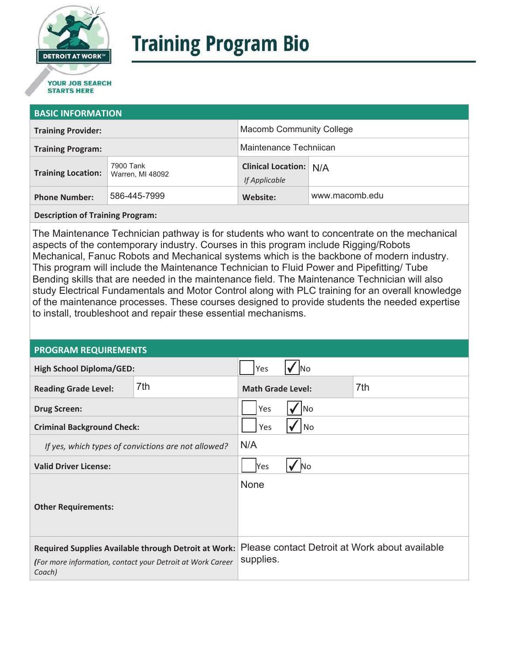

# **Training Program Bio**

## **STARTS HERE**

#### **BASIC INFORMATION**

| <b>Training Provider:</b> |                               | <b>Macomb Community College</b>                |                |
|---------------------------|-------------------------------|------------------------------------------------|----------------|
| <b>Training Program:</b>  |                               | Maintenance Techniican                         |                |
| <b>Training Location:</b> | 7900 Tank<br>Warren, MI 48092 | <b>Clinical Location: N/A</b><br>If Applicable |                |
| <b>Phone Number:</b>      | 586-445-7999                  | Website:                                       | www.macomb.edu |

**Description of Training Program:** 

The Maintenance Technician pathway is for students who want to concentrate on the mechanical aspects of the contemporary industry. Courses in this program include Rigging/Robots Mechanical, Fanuc Robots and Mechanical systems which is the backbone of modern industry. This program will include the Maintenance Technician to Fluid Power and Pipefitting/ Tube Bending skills that are needed in the maintenance field. The Maintenance Technician will also study Electrical Fundamentals and Motor Control along with PLC training for an overall knowledge of the maintenance processes. These courses designed to provide students the needed expertise to install, troubleshoot and repair these essential mechanisms.

#### **PROGRAM REQUIREMENTS**

| <b>High School Diploma/GED:</b>                                                                                                     |     | Yes                      | INO |                                                |
|-------------------------------------------------------------------------------------------------------------------------------------|-----|--------------------------|-----|------------------------------------------------|
| <b>Reading Grade Level:</b>                                                                                                         | 7th | <b>Math Grade Level:</b> |     | 7th                                            |
| <b>Drug Screen:</b>                                                                                                                 |     | Yes<br>lNo               |     |                                                |
| <b>Criminal Background Check:</b>                                                                                                   |     | Yes<br>No                |     |                                                |
| If yes, which types of convictions are not allowed?                                                                                 |     | N/A                      |     |                                                |
| <b>Valid Driver License:</b>                                                                                                        |     | Yes<br>No                |     |                                                |
| <b>Other Requirements:</b>                                                                                                          |     | <b>None</b>              |     |                                                |
| <b>Required Supplies Available through Detroit at Work:</b><br>(For more information, contact your Detroit at Work Career<br>Coach) |     | supplies.                |     | Please contact Detroit at Work about available |